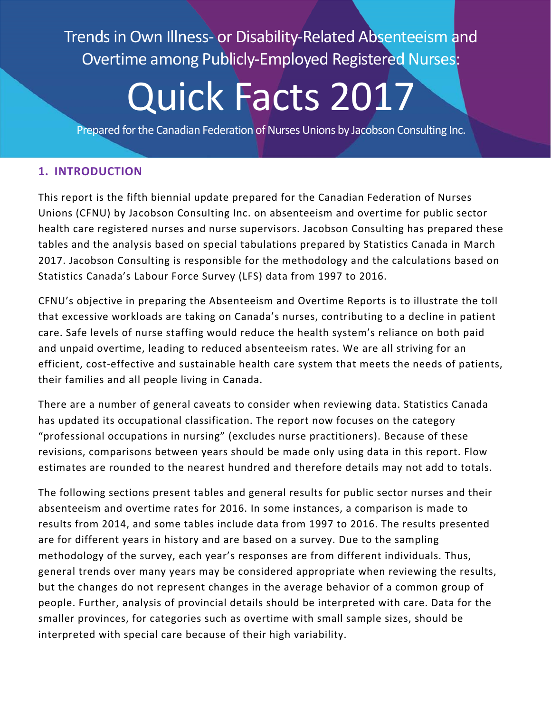Trends in Own Illness- or Disability-Related Absenteeism and Overtime among Publicly-Employed Registered Nurses:

# Quick Facts 2017

Prepared for the Canadian Federation of Nurses Unions by Jacobson Consulting Inc.

# **1. INTRODUCTION**

This report is the fifth biennial update prepared for the Canadian Federation of Nurses Unions (CFNU) by Jacobson Consulting Inc. on absenteeism and overtime for public sector health care registered nurses and nurse supervisors. Jacobson Consulting has prepared these tables and the analysis based on special tabulations prepared by Statistics Canada in March 2017. Jacobson Consulting is responsible for the methodology and the calculations based on Statistics Canada's Labour Force Survey (LFS) data from 1997 to 2016.

CFNU's objective in preparing the Absenteeism and Overtime Reports is to illustrate the toll that excessive workloads are taking on Canada's nurses, contributing to a decline in patient care. Safe levels of nurse staffing would reduce the health system's reliance on both paid and unpaid overtime, leading to reduced absenteeism rates. We are all striving for an efficient, cost-effective and sustainable health care system that meets the needs of patients, their families and all people living in Canada.

There are a number of general caveats to consider when reviewing data. Statistics Canada has updated its occupational classification. The report now focuses on the category "professional occupations in nursing" (excludes nurse practitioners). Because of these revisions, comparisons between years should be made only using data in this report. Flow estimates are rounded to the nearest hundred and therefore details may not add to totals.

The following sections present tables and general results for public sector nurses and their absenteeism and overtime rates for 2016. In some instances, a comparison is made to results from 2014, and some tables include data from 1997 to 2016. The results presented are for different years in history and are based on a survey. Due to the sampling methodology of the survey, each year's responses are from different individuals. Thus, general trends over many years may be considered appropriate when reviewing the results, but the changes do not represent changes in the average behavior of a common group of people. Further, analysis of provincial details should be interpreted with care. Data for the smaller provinces, for categories such as overtime with small sample sizes, should be interpreted with special care because of their high variability.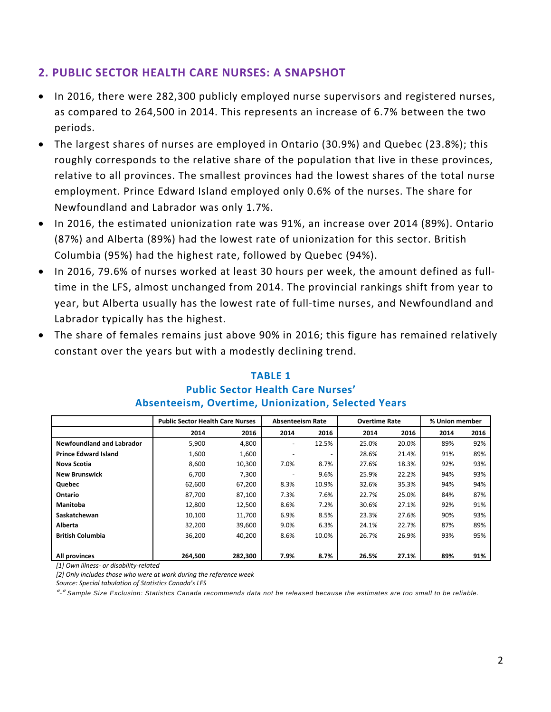# **2. PUBLIC SECTOR HEALTH CARE NURSES: A SNAPSHOT**

- In 2016, there were 282,300 publicly employed nurse supervisors and registered nurses, as compared to 264,500 in 2014. This represents an increase of 6.7% between the two periods.
- The largest shares of nurses are employed in Ontario (30.9%) and Quebec (23.8%); this roughly corresponds to the relative share of the population that live in these provinces, relative to all provinces. The smallest provinces had the lowest shares of the total nurse employment. Prince Edward Island employed only 0.6% of the nurses. The share for Newfoundland and Labrador was only 1.7%.
- In 2016, the estimated unionization rate was 91%, an increase over 2014 (89%). Ontario (87%) and Alberta (89%) had the lowest rate of unionization for this sector. British Columbia (95%) had the highest rate, followed by Quebec (94%).
- In 2016, 79.6% of nurses worked at least 30 hours per week, the amount defined as fulltime in the LFS, almost unchanged from 2014. The provincial rankings shift from year to year, but Alberta usually has the lowest rate of full-time nurses, and Newfoundland and Labrador typically has the highest.
- The share of females remains just above 90% in 2016; this figure has remained relatively constant over the years but with a modestly declining trend.

|                             | <b>Public Sector Health Care Nurses</b> |         | <b>Absenteeism Rate</b> |       | <b>Overtime Rate</b> |       | % Union member |      |
|-----------------------------|-----------------------------------------|---------|-------------------------|-------|----------------------|-------|----------------|------|
|                             | 2014                                    | 2016    | 2014                    | 2016  | 2014                 | 2016  | 2014           | 2016 |
| Newfoundland and Labrador   | 5,900                                   | 4,800   |                         | 12.5% | 25.0%                | 20.0% | 89%            | 92%  |
| <b>Prince Edward Island</b> | 1,600                                   | 1,600   |                         |       | 28.6%                | 21.4% | 91%            | 89%  |
| Nova Scotia                 | 8,600                                   | 10,300  | 7.0%                    | 8.7%  | 27.6%                | 18.3% | 92%            | 93%  |
| <b>New Brunswick</b>        | 6,700                                   | 7,300   |                         | 9.6%  | 25.9%                | 22.2% | 94%            | 93%  |
| Quebec                      | 62,600                                  | 67,200  | 8.3%                    | 10.9% | 32.6%                | 35.3% | 94%            | 94%  |
| Ontario                     | 87,700                                  | 87,100  | 7.3%                    | 7.6%  | 22.7%                | 25.0% | 84%            | 87%  |
| Manitoba                    | 12,800                                  | 12,500  | 8.6%                    | 7.2%  | 30.6%                | 27.1% | 92%            | 91%  |
| Saskatchewan                | 10,100                                  | 11,700  | 6.9%                    | 8.5%  | 23.3%                | 27.6% | 90%            | 93%  |
| Alberta                     | 32,200                                  | 39,600  | 9.0%                    | 6.3%  | 24.1%                | 22.7% | 87%            | 89%  |
| <b>British Columbia</b>     | 36,200                                  | 40,200  | 8.6%                    | 10.0% | 26.7%                | 26.9% | 93%            | 95%  |
| All provinces               | 264.500                                 | 282,300 | 7.9%                    | 8.7%  | 26.5%                | 27.1% | 89%            | 91%  |

#### **TABLE 1 Public Sector Health Care Nurses' Absenteeism, Overtime, Unionization, Selected Years**

*[1] Own illness‐ or disability‐related*

*[2] Only includes those who were at work during the reference week*

*Source: Special tabulation of Statistics Canada's LFS*

*"‐" Sample Size Exclusion: Statistics Canada recommends data not be released because the estimates are too small to be reliable.*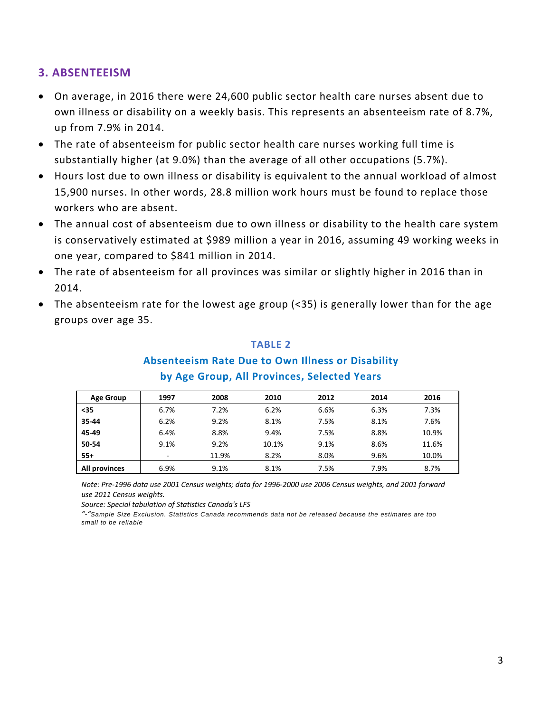#### **3. ABSENTEEISM**

- On average, in 2016 there were 24,600 public sector health care nurses absent due to own illness or disability on a weekly basis. This represents an absenteeism rate of 8.7%, up from 7.9% in 2014.
- The rate of absenteeism for public sector health care nurses working full time is substantially higher (at 9.0%) than the average of all other occupations (5.7%).
- Hours lost due to own illness or disability is equivalent to the annual workload of almost 15,900 nurses. In other words, 28.8 million work hours must be found to replace those workers who are absent.
- The annual cost of absenteeism due to own illness or disability to the health care system is conservatively estimated at \$989 million a year in 2016, assuming 49 working weeks in one year, compared to \$841 million in 2014.
- The rate of absenteeism for all provinces was similar or slightly higher in 2016 than in 2014.
- The absenteeism rate for the lowest age group (<35) is generally lower than for the age groups over age 35.

#### **TABLE 2**

#### **Absenteeism Rate Due to Own Illness or Disability**

| <b>Age Group</b> | 1997 | 2008  | 2010  | 2012 | 2014 | 2016  |
|------------------|------|-------|-------|------|------|-------|
| $35$             | 6.7% | 7.2%  | 6.2%  | 6.6% | 6.3% | 7.3%  |
| 35-44            | 6.2% | 9.2%  | 8.1%  | 7.5% | 8.1% | 7.6%  |
| 45-49            | 6.4% | 8.8%  | 9.4%  | 7.5% | 8.8% | 10.9% |
| 50-54            | 9.1% | 9.2%  | 10.1% | 9.1% | 8.6% | 11.6% |
| $55+$            |      | 11.9% | 8.2%  | 8.0% | 9.6% | 10.0% |
| All provinces    | 6.9% | 9.1%  | 8.1%  | 7.5% | 7.9% | 8.7%  |

# **by Age Group, All Provinces, Selected Years**

Note: Pre-1996 data use 2001 Census weights; data for 1996-2000 use 2006 Census weights, and 2001 forward *use 2011 Census weights.*

*Source: Special tabulation of Statistics Canada's LFS*

*"‐"Sample Size Exclusion. Statistics Canada recommends data not be released because the estimates are too small to be reliable*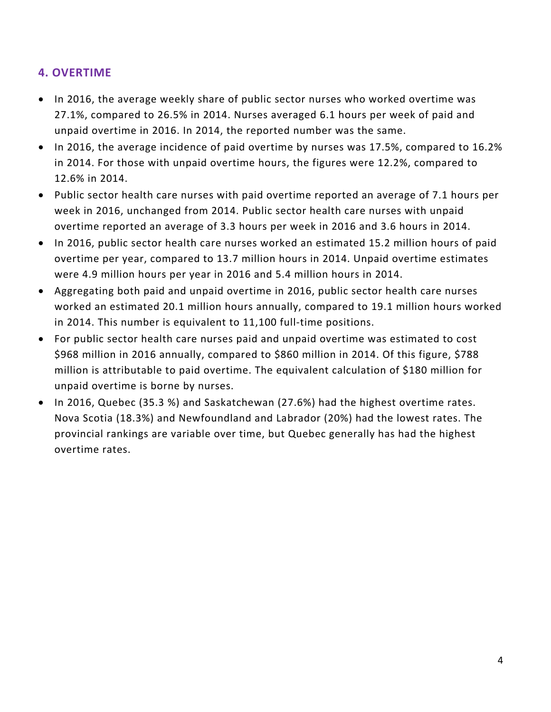# **4. OVERTIME**

- In 2016, the average weekly share of public sector nurses who worked overtime was 27.1%, compared to 26.5% in 2014. Nurses averaged 6.1 hours per week of paid and unpaid overtime in 2016. In 2014, the reported number was the same.
- In 2016, the average incidence of paid overtime by nurses was 17.5%, compared to 16.2% in 2014. For those with unpaid overtime hours, the figures were 12.2%, compared to 12.6% in 2014.
- Public sector health care nurses with paid overtime reported an average of 7.1 hours per week in 2016, unchanged from 2014. Public sector health care nurses with unpaid overtime reported an average of 3.3 hours per week in 2016 and 3.6 hours in 2014.
- In 2016, public sector health care nurses worked an estimated 15.2 million hours of paid overtime per year, compared to 13.7 million hours in 2014. Unpaid overtime estimates were 4.9 million hours per year in 2016 and 5.4 million hours in 2014.
- Aggregating both paid and unpaid overtime in 2016, public sector health care nurses worked an estimated 20.1 million hours annually, compared to 19.1 million hours worked in 2014. This number is equivalent to 11,100 full-time positions.
- For public sector health care nurses paid and unpaid overtime was estimated to cost \$968 million in 2016 annually, compared to \$860 million in 2014. Of this figure, \$788 million is attributable to paid overtime. The equivalent calculation of \$180 million for unpaid overtime is borne by nurses.
- In 2016, Quebec (35.3 %) and Saskatchewan (27.6%) had the highest overtime rates. Nova Scotia (18.3%) and Newfoundland and Labrador (20%) had the lowest rates. The provincial rankings are variable over time, but Quebec generally has had the highest overtime rates.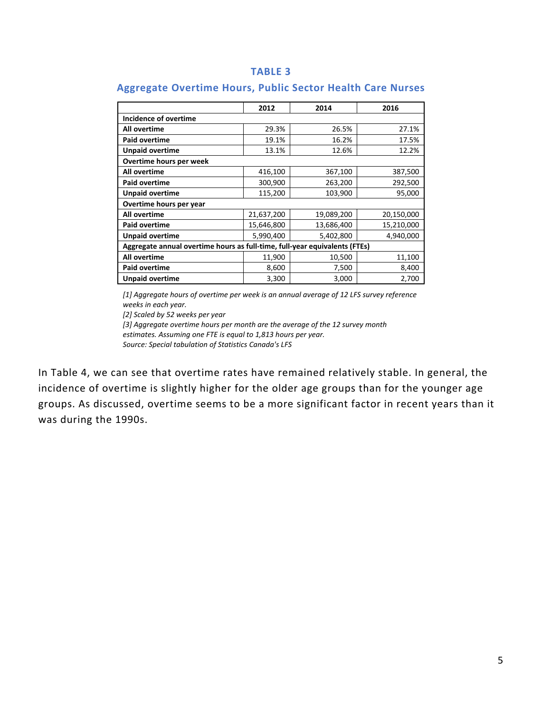#### **TABLE 3**

|                                                                            | 2012       | 2014       | 2016       |  |  |  |  |  |
|----------------------------------------------------------------------------|------------|------------|------------|--|--|--|--|--|
| Incidence of overtime                                                      |            |            |            |  |  |  |  |  |
| All overtime                                                               | 29.3%      | 26.5%      | 27.1%      |  |  |  |  |  |
| <b>Paid overtime</b>                                                       | 19.1%      | 16.2%      | 17.5%      |  |  |  |  |  |
| <b>Unpaid overtime</b>                                                     | 13.1%      | 12.6%      | 12.2%      |  |  |  |  |  |
| Overtime hours per week                                                    |            |            |            |  |  |  |  |  |
| All overtime                                                               | 416,100    | 367,100    | 387,500    |  |  |  |  |  |
| Paid overtime                                                              | 300,900    | 263,200    | 292,500    |  |  |  |  |  |
| <b>Unpaid overtime</b>                                                     | 115,200    | 103,900    | 95,000     |  |  |  |  |  |
| Overtime hours per year                                                    |            |            |            |  |  |  |  |  |
| All overtime                                                               | 21,637,200 | 19,089,200 | 20,150,000 |  |  |  |  |  |
| Paid overtime                                                              | 15,646,800 | 13,686,400 | 15,210,000 |  |  |  |  |  |
| <b>Unpaid overtime</b>                                                     | 5,990,400  | 5,402,800  | 4,940,000  |  |  |  |  |  |
| Aggregate annual overtime hours as full-time, full-year equivalents (FTEs) |            |            |            |  |  |  |  |  |
| All overtime                                                               | 11,900     | 10,500     | 11,100     |  |  |  |  |  |
| <b>Paid overtime</b>                                                       | 8,600      | 7,500      | 8,400      |  |  |  |  |  |
| <b>Unpaid overtime</b>                                                     | 3,300      | 3,000      | 2,700      |  |  |  |  |  |

## **Aggregate Overtime Hours, Public Sector Health Care Nurses**

*[1] Aggregate hours of overtime per week is an annual average of 12 LFS survey reference weeks in each year.*

*[2] Scaled by 52 weeks per year*

*[3] Aggregate overtime hours per month are the average of the 12 survey month estimates. Assuming one FTE is equal to 1,813 hours per year. Source: Special tabulation of Statistics Canada's LFS*

In Table 4, we can see that overtime rates have remained relatively stable. In general, the incidence of overtime is slightly higher for the older age groups than for the younger age groups. As discussed, overtime seems to be a more significant factor in recent years than it was during the 1990s.